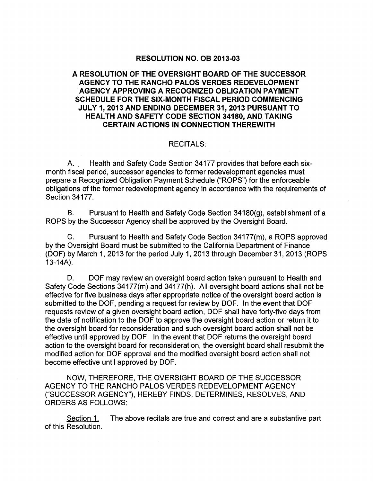# RESOLUTION NO. OB 2013-03

# A RESOLUTION OF THE OVERSIGHT BOARD OF THE SUCCESSOR AGENCY TO THE RANCHO PALOS VERDES REDEVELOPMENT AGENCY APPROVING A RECOGNIZED OBLIGATION PAYMENT SCHEDULE FOR THE SIX-MONTH FISCAL PERIOD COMMENCING JULY 1, 2013 AND ENDING DECEMBER 31,2013 PURSUANT TO HEALTH AND SAFETY CODE SECTION 34180, AND TAKING CERTAIN ACTIONS IN CONNECTION THEREWITH

# RECITALS:

A.. Health and Safety Code Section 34177 provides that before each sixmonth fiscal period, successor agencies to former redevelopment agencies must prepare a Recognized Obligation Payment Schedule (''ROPS'') for the enforceable obligations of the former redevelopment agency in accordance with the requirements of Section 34177.

B. Pursuant to Health and Safety Code Section 34180(g), establishment of a ROPS by the Successor Agency shall be approved by the Oversight Board.

C. Pursuant to Health and Safety Code Section 34177(m), a ROPS approved by the Oversight Board must be submitted to the California Department of Finance (DOF) by March 1, 2013 for the period July 1,2013 through December 31, 2013 (ROPS 13-14A).

D. DOF may review an oversight board action taken pursuant to Health and Safety Code Sections 34177(m) and 34177(h). All oversight board actions shall not be effective for five business days after appropriate notice of the oversight board action is submitted to the DOF, pending a request for review by DOF. In the event that DOF requests review of a given oversight board action, DOF shall have forty-five days from the date of notification to the DOF to approve the oversight board action or return it to the oversight board for reconsideration and such oversight board action shall not be effective until approved by DOF. In the event that DOF returns the oversight board action to the oversight board for reconsideration, the oversight board shall resubmit the modified action for DOF approval and the modified oversight board action shall not become effective until approved by DOF. '

NOW, THEREFORE, THE OVERSIGHT BOARD OF THE SUCCESSOR AGENCY TO THE RANCHO PALOS VERDES REDEVELOPMENT AGENCY ("SUCCESSOR AGENCY"), HEREBY FINDS, DETERMINES, RESOLVES, AND ORDERS AS FOLLOWS:

Section 1. The above recitals are true and correct and are a substantive part of this Resolution.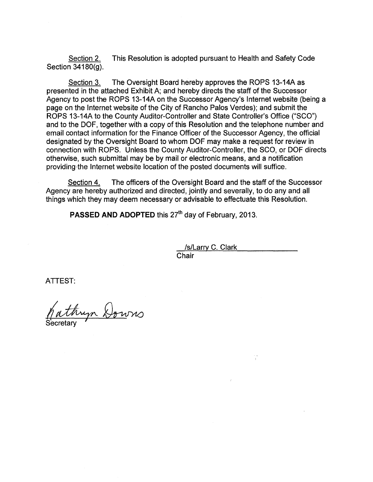Section 2. This Resolution is adopted pursuant to Health and Safety Code Section 34180(g).

Section 3. The Oversight Board hereby approves the ROPS 13-14A as presented in the attached Exhibit A; and hereby directs the staff of the Successor Agency to post the ROPS 13-14A on the Successor Agency's Internet website (being a page on the Internet website of the City of Rancho Palos Verdes); and submit the ROPS 13-14A to the County Auditor-Controller and State Controller's Office ("SCO") and to the OOF, together with a copy of this Resolution and the telephone number and email contact information for the Finance Officer of the Successor Agency, the official designated by the Oversight Board to whom OOF may make a request for review in connection with ROPS. Unless the County Auditor-Controller, the SCO, or OOF directs otherwise, such submittal may be by mail or electronic means, and a notification providing·the Internet website location of the posted documents will suffice.

Section 4. The officers of the Oversight Board and the staff of the Successor Agency are hereby authorized and directed, jointly and severally, to do any and all things which they may deem necessary or advisable to effectuate this Resolution.

**PASSED AND ADOPTED** this 27<sup>th</sup> day of February, 2013.

/s/Larry C. Clark Chair

is<br>R

ATTEST:

Secretary tryn Downs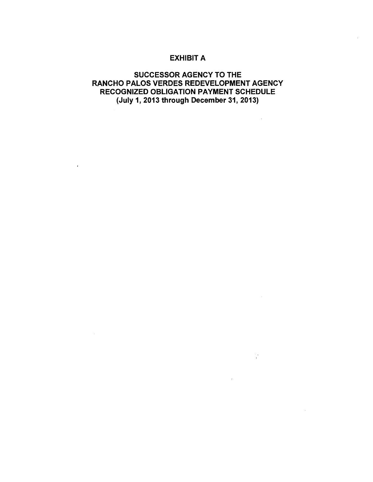# EXHIBIT A

# SUCCESSOR AGENCY TO THE RANCHO PALOS VERDES REDEVELOPMENT AGENCY RECOGNIZED OBLIGATION PAYMENT SCHEDULE (July 1, 2013 through December 31,2013)

 $\sim 100$  km s  $^{-1}$ 

 $\mathcal{L}_{\mathrm{eff}}$ 

 $\frac{1}{2} \sum_{i=1}^{n} \frac{1}{i} \sum_{j=1}^{n} \frac{1}{j}$ 

 $\sim 200$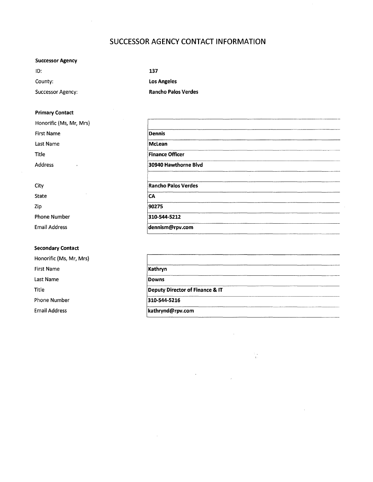# **SUCCESSOR AGENCY CONTACT INFORMATION**

## **Successor Agency**

| ID:                      | 137                        |
|--------------------------|----------------------------|
| County:                  | <b>Los Angeles</b>         |
| <b>Successor Agency:</b> | <b>Rancho Palos Verdes</b> |

### **Primary Contact**

| Honorific (Ms, Mr, Mrs) |                        |  |
|-------------------------|------------------------|--|
| <b>First Name</b>       | <b>Dennis</b>          |  |
| Last Name               | McLean                 |  |
| Title                   | <b>Finance Officer</b> |  |
| Address                 | 30940 Hawthorne Blvd   |  |
| City                    | Rancho Palos Verdes    |  |
| State                   | ICA                    |  |

Zip Phone Number Email Address

### **Secondary Contact**

Honorific (Ms, Mr, Mrs) First Name Last Name Title Phone Number Email Address

| 30940 Hawthorne Blvd       |  |
|----------------------------|--|
|                            |  |
| <b>Rancho Palos Verdes</b> |  |
| CA                         |  |
| 90275                      |  |
| 310-544-5212               |  |
| dennism@rpv.com            |  |

| Kathryn                         |  |
|---------------------------------|--|
| Downs                           |  |
| Deputy Director of Finance & IT |  |
| 310-544-5216                    |  |
| kathrynd@rpv.com                |  |

i<br>Vi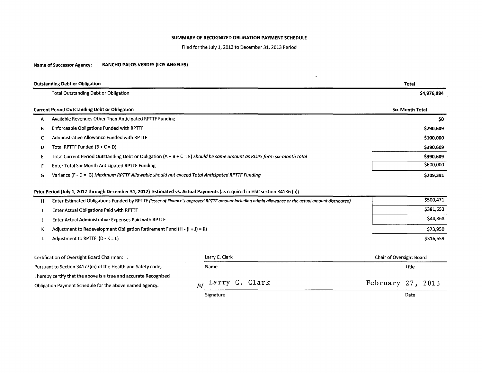### SUMMARY OF RECOGNIZED OBLIGATION PAYMENT SCHEDULE

Filed for the July 1, 2013 to December 31, 2013 Period

### Name of Successor Agency: RANCHO PALOS VERDES (LOS ANGELES)

 $\sim$ 

|   | <b>Outstanding Debt or Obligation</b>                                                                                      |                                                                                                                                                    | <b>Total</b>             |  |  |  |  |
|---|----------------------------------------------------------------------------------------------------------------------------|----------------------------------------------------------------------------------------------------------------------------------------------------|--------------------------|--|--|--|--|
|   | <b>Total Outstanding Debt or Obligation</b>                                                                                |                                                                                                                                                    | \$4,976,984              |  |  |  |  |
|   | <b>Current Period Outstanding Debt or Obligation</b>                                                                       |                                                                                                                                                    | <b>Six-Month Total</b>   |  |  |  |  |
| А | Available Revenues Other Than Anticipated RPTTF Funding                                                                    |                                                                                                                                                    | \$0                      |  |  |  |  |
| В | <b>Enforceable Obligations Funded with RPTTF</b>                                                                           |                                                                                                                                                    | \$290,609                |  |  |  |  |
| c | Administrative Allowance Funded with RPTTF                                                                                 |                                                                                                                                                    | \$100,000                |  |  |  |  |
| D | Total RPTTF Funded $(B + C = D)$                                                                                           |                                                                                                                                                    | \$390,609                |  |  |  |  |
| Ε | Total Current Period Outstanding Debt or Obligation (A + B + C = E) Should be same amount as ROPS form six-month total     |                                                                                                                                                    | \$390,609                |  |  |  |  |
|   | <b>Enter Total Six-Month Anticipated RPTTF Funding</b>                                                                     |                                                                                                                                                    | \$600,000                |  |  |  |  |
| G | Variance (F - D = G) Maximum RPTTF Allowable should not exceed Total Anticipated RPTTF Funding                             | \$209,391                                                                                                                                          |                          |  |  |  |  |
|   | Prior Period (July 1, 2012 through December 31, 2012) Estimated vs. Actual Payments (as required in HSC section 34186 (a)) |                                                                                                                                                    |                          |  |  |  |  |
| н |                                                                                                                            | Enter Estimated Obligations Funded by RPTTF (lesser of Finance's approved RPTTF amount including admin allowance or the actual amount distributed) | \$500,471                |  |  |  |  |
|   | <b>Enter Actual Obligations Paid with RPTTF</b>                                                                            |                                                                                                                                                    | \$381,653                |  |  |  |  |
|   | Enter Actual Administrative Expenses Paid with RPTTF                                                                       |                                                                                                                                                    | \$44,868                 |  |  |  |  |
| к | Adjustment to Redevelopment Obligation Retirement Fund (H - $(i + j) = K$ )                                                | \$73,950                                                                                                                                           |                          |  |  |  |  |
|   | Adjustment to RPTTF $(D - K = L)$                                                                                          |                                                                                                                                                    | \$316,659                |  |  |  |  |
|   | Certification of Oversight Board Chairman:                                                                                 | Larry C. Clark                                                                                                                                     | Chair of Oversight Board |  |  |  |  |
|   | Pursuant to Section 34177(m) of the Health and Safety code,                                                                | Title                                                                                                                                              |                          |  |  |  |  |
|   | I hereby certify that the above is a true and accurate Recognized                                                          | Larry C. Clark                                                                                                                                     |                          |  |  |  |  |
|   | Obligation Payment Schedule for the above named agency.                                                                    | February 27, 2013                                                                                                                                  |                          |  |  |  |  |

Date

 $\mathcal{A}^{\pm}$ 

Signature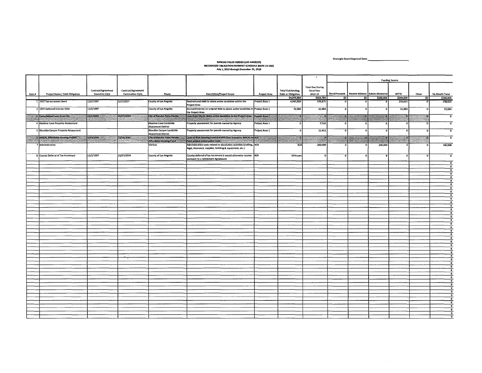Oversight Board Approval Date: \_\_\_\_\_\_\_\_ \_

 $\sim 10^{11}$  km  $^{-1}$ 

# RANCHO PALOS VERDES (LOS ANGELES) RECOGNIZ£D OBlIGATION PAYMENT SCHEDULE (ROPS 13-14A) July 1. 2013 tbroup December 31. 2013

| <b>Total Due During</b><br>Contract/Agreement<br>Contract/Agreement<br><b>Total Outstanding</b><br>Físcal Year<br>Bond Proceeds   Reserve Balance   Admin Allowance<br>Project Name / Debt Obligation<br><b>Execution Date</b><br><b>Termination Date</b><br><b>Description/Project Scope</b><br><b>Debt or Obligation</b><br><b>RPTTF</b><br><b>Six-Month Total</b><br>Payee<br>Project Area<br>2013-14<br>Other<br>\$4,976,984<br>\$290,609<br>\$629,780<br>50<br>50<br>\$100,000<br>-\$0 ∲<br>12/2/1997<br>12/2/2027<br>County of Los Angeles<br>Restructured debt to abate active landslides within the<br>1 1997 Tax Increment Bond<br>Project Area 1<br>4,945,000<br>378,875<br>258,625<br>$\mathbf o$<br>$\mathbf{o}$<br>$\mathbf{0}$<br>Project Area<br>11/1/1997<br>Accrued interest on original debt to abate active landslides in Project Area 1<br>2 1997 Deferred Interest Debt<br><b>County of Los Angeles</b><br>31,984<br>31,984<br>31,984<br>$\Omega$<br>-0<br>n<br>$\mathbf{r}$<br>the Project Area<br>11/27/2034<br>12/1/2003<br>City of Rancho Palos Verdes.<br>Loan from City to abote active landslides in the Project Area \Project Area 1<br>Consolidated Loan from City<br>ю.<br>c 13<br>S<br><b>STATISTICS</b><br>4 Abalone Cove Property Assessment<br>Abalone Cove Landslide<br>Property assessment for parcels owned by Agency<br>Project Area 1<br>7,510<br>$\Omega$<br><b>Abatement District</b><br>Klondike Canyon Landslide<br>5 Klondike Canyon Property Assessment<br>Property assessment for parcels owned by Agency<br>Project Area 1<br>11,411<br>$\mathbf{0}$<br><b>Abatement District</b><br>3/20/2009<br>City of Rancho Palos Verdes<br>Loan to RDA Housing Fund that was then loaned to AMCAL to N/A<br>6 AMCAL Affordable Housing Project<br>12/18/2065<br>83<br>1999-1999<br>Affordable Housing Fund<br>fund-project-construction costs and construction of the construction<br>7 Administration<br>Various<br>Administrative costs related to dissolution activities (staffing, N/A<br>N/I<br>200,000<br>100,000<br>legal, insurance, supplies, building & equipment, etc.)<br>11/1/1997<br>11/27/2034<br>County deferral of tax increment it would otherwise receive N/A<br>8 County Deferral of Tax Increment<br><b>County of Los Angeles</b><br>Unknown<br>$\Omega$<br>$\Omega$<br>$\mathbf{r}$<br>pursuant to a Settlement Agreement<br>$\bullet$<br>$\overline{0}$<br>$\overline{\mathbf{0}}$<br>$\mathbf{0}$<br>$\overline{\bullet}$<br>$^{\circ}$<br>$\overline{\phantom{a}}$ |        |  |  |  | $\bullet$ | <b>Funding Source</b> |  |  |  |                                         |
|-----------------------------------------------------------------------------------------------------------------------------------------------------------------------------------------------------------------------------------------------------------------------------------------------------------------------------------------------------------------------------------------------------------------------------------------------------------------------------------------------------------------------------------------------------------------------------------------------------------------------------------------------------------------------------------------------------------------------------------------------------------------------------------------------------------------------------------------------------------------------------------------------------------------------------------------------------------------------------------------------------------------------------------------------------------------------------------------------------------------------------------------------------------------------------------------------------------------------------------------------------------------------------------------------------------------------------------------------------------------------------------------------------------------------------------------------------------------------------------------------------------------------------------------------------------------------------------------------------------------------------------------------------------------------------------------------------------------------------------------------------------------------------------------------------------------------------------------------------------------------------------------------------------------------------------------------------------------------------------------------------------------------------------------------------------------------------------------------------------------------------------------------------------------------------------------------------------------------------------------------------------------------------------------------------------------------------------------------------------------------------------------------------------------------------------------------------------------------------------------------------------------------------------|--------|--|--|--|-----------|-----------------------|--|--|--|-----------------------------------------|
|                                                                                                                                                                                                                                                                                                                                                                                                                                                                                                                                                                                                                                                                                                                                                                                                                                                                                                                                                                                                                                                                                                                                                                                                                                                                                                                                                                                                                                                                                                                                                                                                                                                                                                                                                                                                                                                                                                                                                                                                                                                                                                                                                                                                                                                                                                                                                                                                                                                                                                                                   |        |  |  |  |           |                       |  |  |  |                                         |
|                                                                                                                                                                                                                                                                                                                                                                                                                                                                                                                                                                                                                                                                                                                                                                                                                                                                                                                                                                                                                                                                                                                                                                                                                                                                                                                                                                                                                                                                                                                                                                                                                                                                                                                                                                                                                                                                                                                                                                                                                                                                                                                                                                                                                                                                                                                                                                                                                                                                                                                                   | item # |  |  |  |           |                       |  |  |  |                                         |
|                                                                                                                                                                                                                                                                                                                                                                                                                                                                                                                                                                                                                                                                                                                                                                                                                                                                                                                                                                                                                                                                                                                                                                                                                                                                                                                                                                                                                                                                                                                                                                                                                                                                                                                                                                                                                                                                                                                                                                                                                                                                                                                                                                                                                                                                                                                                                                                                                                                                                                                                   |        |  |  |  |           |                       |  |  |  | \$390,609                               |
|                                                                                                                                                                                                                                                                                                                                                                                                                                                                                                                                                                                                                                                                                                                                                                                                                                                                                                                                                                                                                                                                                                                                                                                                                                                                                                                                                                                                                                                                                                                                                                                                                                                                                                                                                                                                                                                                                                                                                                                                                                                                                                                                                                                                                                                                                                                                                                                                                                                                                                                                   |        |  |  |  |           |                       |  |  |  | 258,625                                 |
|                                                                                                                                                                                                                                                                                                                                                                                                                                                                                                                                                                                                                                                                                                                                                                                                                                                                                                                                                                                                                                                                                                                                                                                                                                                                                                                                                                                                                                                                                                                                                                                                                                                                                                                                                                                                                                                                                                                                                                                                                                                                                                                                                                                                                                                                                                                                                                                                                                                                                                                                   |        |  |  |  |           |                       |  |  |  | 31,984                                  |
|                                                                                                                                                                                                                                                                                                                                                                                                                                                                                                                                                                                                                                                                                                                                                                                                                                                                                                                                                                                                                                                                                                                                                                                                                                                                                                                                                                                                                                                                                                                                                                                                                                                                                                                                                                                                                                                                                                                                                                                                                                                                                                                                                                                                                                                                                                                                                                                                                                                                                                                                   |        |  |  |  |           |                       |  |  |  | $\Omega$                                |
|                                                                                                                                                                                                                                                                                                                                                                                                                                                                                                                                                                                                                                                                                                                                                                                                                                                                                                                                                                                                                                                                                                                                                                                                                                                                                                                                                                                                                                                                                                                                                                                                                                                                                                                                                                                                                                                                                                                                                                                                                                                                                                                                                                                                                                                                                                                                                                                                                                                                                                                                   |        |  |  |  |           |                       |  |  |  |                                         |
|                                                                                                                                                                                                                                                                                                                                                                                                                                                                                                                                                                                                                                                                                                                                                                                                                                                                                                                                                                                                                                                                                                                                                                                                                                                                                                                                                                                                                                                                                                                                                                                                                                                                                                                                                                                                                                                                                                                                                                                                                                                                                                                                                                                                                                                                                                                                                                                                                                                                                                                                   |        |  |  |  |           |                       |  |  |  |                                         |
|                                                                                                                                                                                                                                                                                                                                                                                                                                                                                                                                                                                                                                                                                                                                                                                                                                                                                                                                                                                                                                                                                                                                                                                                                                                                                                                                                                                                                                                                                                                                                                                                                                                                                                                                                                                                                                                                                                                                                                                                                                                                                                                                                                                                                                                                                                                                                                                                                                                                                                                                   | S.     |  |  |  |           |                       |  |  |  |                                         |
|                                                                                                                                                                                                                                                                                                                                                                                                                                                                                                                                                                                                                                                                                                                                                                                                                                                                                                                                                                                                                                                                                                                                                                                                                                                                                                                                                                                                                                                                                                                                                                                                                                                                                                                                                                                                                                                                                                                                                                                                                                                                                                                                                                                                                                                                                                                                                                                                                                                                                                                                   |        |  |  |  |           |                       |  |  |  | 100,000                                 |
|                                                                                                                                                                                                                                                                                                                                                                                                                                                                                                                                                                                                                                                                                                                                                                                                                                                                                                                                                                                                                                                                                                                                                                                                                                                                                                                                                                                                                                                                                                                                                                                                                                                                                                                                                                                                                                                                                                                                                                                                                                                                                                                                                                                                                                                                                                                                                                                                                                                                                                                                   |        |  |  |  |           |                       |  |  |  | $\mathbf{a}$                            |
|                                                                                                                                                                                                                                                                                                                                                                                                                                                                                                                                                                                                                                                                                                                                                                                                                                                                                                                                                                                                                                                                                                                                                                                                                                                                                                                                                                                                                                                                                                                                                                                                                                                                                                                                                                                                                                                                                                                                                                                                                                                                                                                                                                                                                                                                                                                                                                                                                                                                                                                                   |        |  |  |  |           |                       |  |  |  |                                         |
|                                                                                                                                                                                                                                                                                                                                                                                                                                                                                                                                                                                                                                                                                                                                                                                                                                                                                                                                                                                                                                                                                                                                                                                                                                                                                                                                                                                                                                                                                                                                                                                                                                                                                                                                                                                                                                                                                                                                                                                                                                                                                                                                                                                                                                                                                                                                                                                                                                                                                                                                   |        |  |  |  |           |                       |  |  |  | n                                       |
|                                                                                                                                                                                                                                                                                                                                                                                                                                                                                                                                                                                                                                                                                                                                                                                                                                                                                                                                                                                                                                                                                                                                                                                                                                                                                                                                                                                                                                                                                                                                                                                                                                                                                                                                                                                                                                                                                                                                                                                                                                                                                                                                                                                                                                                                                                                                                                                                                                                                                                                                   |        |  |  |  |           |                       |  |  |  | $\overline{\phantom{a}}$                |
|                                                                                                                                                                                                                                                                                                                                                                                                                                                                                                                                                                                                                                                                                                                                                                                                                                                                                                                                                                                                                                                                                                                                                                                                                                                                                                                                                                                                                                                                                                                                                                                                                                                                                                                                                                                                                                                                                                                                                                                                                                                                                                                                                                                                                                                                                                                                                                                                                                                                                                                                   |        |  |  |  |           |                       |  |  |  | $\bullet$                               |
|                                                                                                                                                                                                                                                                                                                                                                                                                                                                                                                                                                                                                                                                                                                                                                                                                                                                                                                                                                                                                                                                                                                                                                                                                                                                                                                                                                                                                                                                                                                                                                                                                                                                                                                                                                                                                                                                                                                                                                                                                                                                                                                                                                                                                                                                                                                                                                                                                                                                                                                                   |        |  |  |  |           |                       |  |  |  | $\overline{\phantom{a}}$                |
|                                                                                                                                                                                                                                                                                                                                                                                                                                                                                                                                                                                                                                                                                                                                                                                                                                                                                                                                                                                                                                                                                                                                                                                                                                                                                                                                                                                                                                                                                                                                                                                                                                                                                                                                                                                                                                                                                                                                                                                                                                                                                                                                                                                                                                                                                                                                                                                                                                                                                                                                   |        |  |  |  |           |                       |  |  |  | ۰Ö                                      |
|                                                                                                                                                                                                                                                                                                                                                                                                                                                                                                                                                                                                                                                                                                                                                                                                                                                                                                                                                                                                                                                                                                                                                                                                                                                                                                                                                                                                                                                                                                                                                                                                                                                                                                                                                                                                                                                                                                                                                                                                                                                                                                                                                                                                                                                                                                                                                                                                                                                                                                                                   |        |  |  |  |           |                       |  |  |  | $\overline{\bullet}$                    |
|                                                                                                                                                                                                                                                                                                                                                                                                                                                                                                                                                                                                                                                                                                                                                                                                                                                                                                                                                                                                                                                                                                                                                                                                                                                                                                                                                                                                                                                                                                                                                                                                                                                                                                                                                                                                                                                                                                                                                                                                                                                                                                                                                                                                                                                                                                                                                                                                                                                                                                                                   |        |  |  |  |           |                       |  |  |  | $\overline{\phantom{a}}$                |
|                                                                                                                                                                                                                                                                                                                                                                                                                                                                                                                                                                                                                                                                                                                                                                                                                                                                                                                                                                                                                                                                                                                                                                                                                                                                                                                                                                                                                                                                                                                                                                                                                                                                                                                                                                                                                                                                                                                                                                                                                                                                                                                                                                                                                                                                                                                                                                                                                                                                                                                                   |        |  |  |  |           |                       |  |  |  | $\bullet$                               |
|                                                                                                                                                                                                                                                                                                                                                                                                                                                                                                                                                                                                                                                                                                                                                                                                                                                                                                                                                                                                                                                                                                                                                                                                                                                                                                                                                                                                                                                                                                                                                                                                                                                                                                                                                                                                                                                                                                                                                                                                                                                                                                                                                                                                                                                                                                                                                                                                                                                                                                                                   |        |  |  |  |           |                       |  |  |  | $\overline{\mathbf{a}}$<br>$\mathbf{a}$ |
|                                                                                                                                                                                                                                                                                                                                                                                                                                                                                                                                                                                                                                                                                                                                                                                                                                                                                                                                                                                                                                                                                                                                                                                                                                                                                                                                                                                                                                                                                                                                                                                                                                                                                                                                                                                                                                                                                                                                                                                                                                                                                                                                                                                                                                                                                                                                                                                                                                                                                                                                   |        |  |  |  |           |                       |  |  |  | $\mathbf o$                             |
|                                                                                                                                                                                                                                                                                                                                                                                                                                                                                                                                                                                                                                                                                                                                                                                                                                                                                                                                                                                                                                                                                                                                                                                                                                                                                                                                                                                                                                                                                                                                                                                                                                                                                                                                                                                                                                                                                                                                                                                                                                                                                                                                                                                                                                                                                                                                                                                                                                                                                                                                   |        |  |  |  |           |                       |  |  |  | $\bullet$                               |
|                                                                                                                                                                                                                                                                                                                                                                                                                                                                                                                                                                                                                                                                                                                                                                                                                                                                                                                                                                                                                                                                                                                                                                                                                                                                                                                                                                                                                                                                                                                                                                                                                                                                                                                                                                                                                                                                                                                                                                                                                                                                                                                                                                                                                                                                                                                                                                                                                                                                                                                                   |        |  |  |  |           |                       |  |  |  | $\mathbf{o}$                            |
|                                                                                                                                                                                                                                                                                                                                                                                                                                                                                                                                                                                                                                                                                                                                                                                                                                                                                                                                                                                                                                                                                                                                                                                                                                                                                                                                                                                                                                                                                                                                                                                                                                                                                                                                                                                                                                                                                                                                                                                                                                                                                                                                                                                                                                                                                                                                                                                                                                                                                                                                   |        |  |  |  |           |                       |  |  |  | $\overline{0}$                          |
|                                                                                                                                                                                                                                                                                                                                                                                                                                                                                                                                                                                                                                                                                                                                                                                                                                                                                                                                                                                                                                                                                                                                                                                                                                                                                                                                                                                                                                                                                                                                                                                                                                                                                                                                                                                                                                                                                                                                                                                                                                                                                                                                                                                                                                                                                                                                                                                                                                                                                                                                   |        |  |  |  |           |                       |  |  |  | $\theta$<br>$\Omega$                    |
|                                                                                                                                                                                                                                                                                                                                                                                                                                                                                                                                                                                                                                                                                                                                                                                                                                                                                                                                                                                                                                                                                                                                                                                                                                                                                                                                                                                                                                                                                                                                                                                                                                                                                                                                                                                                                                                                                                                                                                                                                                                                                                                                                                                                                                                                                                                                                                                                                                                                                                                                   |        |  |  |  |           |                       |  |  |  | $\mathbf{o}$                            |
|                                                                                                                                                                                                                                                                                                                                                                                                                                                                                                                                                                                                                                                                                                                                                                                                                                                                                                                                                                                                                                                                                                                                                                                                                                                                                                                                                                                                                                                                                                                                                                                                                                                                                                                                                                                                                                                                                                                                                                                                                                                                                                                                                                                                                                                                                                                                                                                                                                                                                                                                   |        |  |  |  |           |                       |  |  |  | $\Omega$                                |
|                                                                                                                                                                                                                                                                                                                                                                                                                                                                                                                                                                                                                                                                                                                                                                                                                                                                                                                                                                                                                                                                                                                                                                                                                                                                                                                                                                                                                                                                                                                                                                                                                                                                                                                                                                                                                                                                                                                                                                                                                                                                                                                                                                                                                                                                                                                                                                                                                                                                                                                                   |        |  |  |  |           |                       |  |  |  | $\bullet$                               |
|                                                                                                                                                                                                                                                                                                                                                                                                                                                                                                                                                                                                                                                                                                                                                                                                                                                                                                                                                                                                                                                                                                                                                                                                                                                                                                                                                                                                                                                                                                                                                                                                                                                                                                                                                                                                                                                                                                                                                                                                                                                                                                                                                                                                                                                                                                                                                                                                                                                                                                                                   |        |  |  |  |           |                       |  |  |  |                                         |
|                                                                                                                                                                                                                                                                                                                                                                                                                                                                                                                                                                                                                                                                                                                                                                                                                                                                                                                                                                                                                                                                                                                                                                                                                                                                                                                                                                                                                                                                                                                                                                                                                                                                                                                                                                                                                                                                                                                                                                                                                                                                                                                                                                                                                                                                                                                                                                                                                                                                                                                                   |        |  |  |  |           |                       |  |  |  | $\bullet$                               |
|                                                                                                                                                                                                                                                                                                                                                                                                                                                                                                                                                                                                                                                                                                                                                                                                                                                                                                                                                                                                                                                                                                                                                                                                                                                                                                                                                                                                                                                                                                                                                                                                                                                                                                                                                                                                                                                                                                                                                                                                                                                                                                                                                                                                                                                                                                                                                                                                                                                                                                                                   |        |  |  |  |           |                       |  |  |  | $\overline{\bullet}$                    |
|                                                                                                                                                                                                                                                                                                                                                                                                                                                                                                                                                                                                                                                                                                                                                                                                                                                                                                                                                                                                                                                                                                                                                                                                                                                                                                                                                                                                                                                                                                                                                                                                                                                                                                                                                                                                                                                                                                                                                                                                                                                                                                                                                                                                                                                                                                                                                                                                                                                                                                                                   |        |  |  |  |           |                       |  |  |  | $\circ$                                 |
|                                                                                                                                                                                                                                                                                                                                                                                                                                                                                                                                                                                                                                                                                                                                                                                                                                                                                                                                                                                                                                                                                                                                                                                                                                                                                                                                                                                                                                                                                                                                                                                                                                                                                                                                                                                                                                                                                                                                                                                                                                                                                                                                                                                                                                                                                                                                                                                                                                                                                                                                   |        |  |  |  |           |                       |  |  |  | $\overline{\mathbf{0}}$                 |
|                                                                                                                                                                                                                                                                                                                                                                                                                                                                                                                                                                                                                                                                                                                                                                                                                                                                                                                                                                                                                                                                                                                                                                                                                                                                                                                                                                                                                                                                                                                                                                                                                                                                                                                                                                                                                                                                                                                                                                                                                                                                                                                                                                                                                                                                                                                                                                                                                                                                                                                                   |        |  |  |  |           |                       |  |  |  | $\bullet$                               |
|                                                                                                                                                                                                                                                                                                                                                                                                                                                                                                                                                                                                                                                                                                                                                                                                                                                                                                                                                                                                                                                                                                                                                                                                                                                                                                                                                                                                                                                                                                                                                                                                                                                                                                                                                                                                                                                                                                                                                                                                                                                                                                                                                                                                                                                                                                                                                                                                                                                                                                                                   |        |  |  |  |           |                       |  |  |  | $\overline{\mathbf{c}}$                 |
|                                                                                                                                                                                                                                                                                                                                                                                                                                                                                                                                                                                                                                                                                                                                                                                                                                                                                                                                                                                                                                                                                                                                                                                                                                                                                                                                                                                                                                                                                                                                                                                                                                                                                                                                                                                                                                                                                                                                                                                                                                                                                                                                                                                                                                                                                                                                                                                                                                                                                                                                   |        |  |  |  |           |                       |  |  |  | $\bullet$                               |
|                                                                                                                                                                                                                                                                                                                                                                                                                                                                                                                                                                                                                                                                                                                                                                                                                                                                                                                                                                                                                                                                                                                                                                                                                                                                                                                                                                                                                                                                                                                                                                                                                                                                                                                                                                                                                                                                                                                                                                                                                                                                                                                                                                                                                                                                                                                                                                                                                                                                                                                                   |        |  |  |  |           |                       |  |  |  | $\bullet$                               |
|                                                                                                                                                                                                                                                                                                                                                                                                                                                                                                                                                                                                                                                                                                                                                                                                                                                                                                                                                                                                                                                                                                                                                                                                                                                                                                                                                                                                                                                                                                                                                                                                                                                                                                                                                                                                                                                                                                                                                                                                                                                                                                                                                                                                                                                                                                                                                                                                                                                                                                                                   |        |  |  |  |           |                       |  |  |  | $\overline{\cdot}$                      |
|                                                                                                                                                                                                                                                                                                                                                                                                                                                                                                                                                                                                                                                                                                                                                                                                                                                                                                                                                                                                                                                                                                                                                                                                                                                                                                                                                                                                                                                                                                                                                                                                                                                                                                                                                                                                                                                                                                                                                                                                                                                                                                                                                                                                                                                                                                                                                                                                                                                                                                                                   |        |  |  |  |           |                       |  |  |  | $\overline{\phantom{a}}$                |
|                                                                                                                                                                                                                                                                                                                                                                                                                                                                                                                                                                                                                                                                                                                                                                                                                                                                                                                                                                                                                                                                                                                                                                                                                                                                                                                                                                                                                                                                                                                                                                                                                                                                                                                                                                                                                                                                                                                                                                                                                                                                                                                                                                                                                                                                                                                                                                                                                                                                                                                                   |        |  |  |  |           |                       |  |  |  | $\overline{\bullet}$                    |
|                                                                                                                                                                                                                                                                                                                                                                                                                                                                                                                                                                                                                                                                                                                                                                                                                                                                                                                                                                                                                                                                                                                                                                                                                                                                                                                                                                                                                                                                                                                                                                                                                                                                                                                                                                                                                                                                                                                                                                                                                                                                                                                                                                                                                                                                                                                                                                                                                                                                                                                                   |        |  |  |  |           |                       |  |  |  | $\bullet$                               |
|                                                                                                                                                                                                                                                                                                                                                                                                                                                                                                                                                                                                                                                                                                                                                                                                                                                                                                                                                                                                                                                                                                                                                                                                                                                                                                                                                                                                                                                                                                                                                                                                                                                                                                                                                                                                                                                                                                                                                                                                                                                                                                                                                                                                                                                                                                                                                                                                                                                                                                                                   |        |  |  |  |           |                       |  |  |  | $\overline{a}$                          |
|                                                                                                                                                                                                                                                                                                                                                                                                                                                                                                                                                                                                                                                                                                                                                                                                                                                                                                                                                                                                                                                                                                                                                                                                                                                                                                                                                                                                                                                                                                                                                                                                                                                                                                                                                                                                                                                                                                                                                                                                                                                                                                                                                                                                                                                                                                                                                                                                                                                                                                                                   |        |  |  |  |           |                       |  |  |  | $\overline{\mathbf{0}}$                 |
|                                                                                                                                                                                                                                                                                                                                                                                                                                                                                                                                                                                                                                                                                                                                                                                                                                                                                                                                                                                                                                                                                                                                                                                                                                                                                                                                                                                                                                                                                                                                                                                                                                                                                                                                                                                                                                                                                                                                                                                                                                                                                                                                                                                                                                                                                                                                                                                                                                                                                                                                   |        |  |  |  |           |                       |  |  |  | $^{\circ}$                              |
|                                                                                                                                                                                                                                                                                                                                                                                                                                                                                                                                                                                                                                                                                                                                                                                                                                                                                                                                                                                                                                                                                                                                                                                                                                                                                                                                                                                                                                                                                                                                                                                                                                                                                                                                                                                                                                                                                                                                                                                                                                                                                                                                                                                                                                                                                                                                                                                                                                                                                                                                   |        |  |  |  |           |                       |  |  |  | $\overline{\bullet}$                    |
|                                                                                                                                                                                                                                                                                                                                                                                                                                                                                                                                                                                                                                                                                                                                                                                                                                                                                                                                                                                                                                                                                                                                                                                                                                                                                                                                                                                                                                                                                                                                                                                                                                                                                                                                                                                                                                                                                                                                                                                                                                                                                                                                                                                                                                                                                                                                                                                                                                                                                                                                   |        |  |  |  |           |                       |  |  |  | $\mathbf o$                             |
|                                                                                                                                                                                                                                                                                                                                                                                                                                                                                                                                                                                                                                                                                                                                                                                                                                                                                                                                                                                                                                                                                                                                                                                                                                                                                                                                                                                                                                                                                                                                                                                                                                                                                                                                                                                                                                                                                                                                                                                                                                                                                                                                                                                                                                                                                                                                                                                                                                                                                                                                   |        |  |  |  |           |                       |  |  |  |                                         |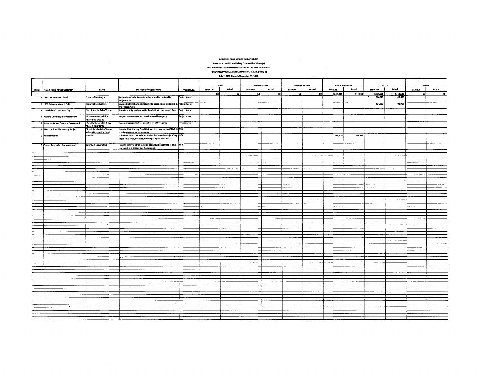#### RANCHO PALOS VERDES (LOS ANGELES)

 $\mathcal{L}^{\mathcal{L}}$  ,  $\mathcal{L}^{\mathcal{L}}$  ,  $\mathcal{L}^{\mathcal{L}}$  ,  $\mathcal{L}^{\mathcal{L}}$ 

#### $\emph{Pursuant to Health and Safety Code section 34186 (a)}$

#### PRIOR PERIOD ESTIMATED OBLIGATIONS vs. ACTUAL PAYMENTS RECOGNtZED OBUGATION PAYMENT SCHEDULE (RaPS II)

#### .JuIy 1. 2012 throuch December 31. 2012

|  | July 1, 2012 through December 31, 2012<br>$\bullet$ |                                                 |                                                                                |                |          |              |          |                      |                        |        |                        |          |           |                      |          |        |
|--|-----------------------------------------------------|-------------------------------------------------|--------------------------------------------------------------------------------|----------------|----------|--------------|----------|----------------------|------------------------|--------|------------------------|----------|-----------|----------------------|----------|--------|
|  |                                                     |                                                 |                                                                                |                |          |              |          |                      |                        |        |                        |          |           |                      |          |        |
|  |                                                     |                                                 |                                                                                |                |          | <b>LMIHF</b> |          | <b>Bond Proceeds</b> | <b>Reserve Balance</b> |        | <b>Admin Allowance</b> |          | RPTTF     |                      | Other    |        |
|  |                                                     |                                                 |                                                                                |                |          | Actual       |          | Actual               |                        | Actual |                        | Actual   |           | Actual               |          | Actual |
|  | <b>Item #</b> Project Name / Debt Obligation        | Payee                                           | <b>Description/Project Scope</b>                                               | Project Area   | Estimate |              | Estimate |                      | Estimate               |        | Estimate               |          | Estimate  |                      | Estimate |        |
|  |                                                     |                                                 | Restructured debt to abate active landslides within the                        | Project Area 1 | ∶soi     | `\$o ∫       | \$o      | so j                 | so I                   | \$0    | \$110,818              | \$44,868 | \$681,528 | \$649,545<br>246,625 | so l     | \$0    |
|  | 1 1997 Tax Increment Bond                           | County of Los Angeles                           | Project Area                                                                   |                |          |              |          |                      |                        |        |                        |          | 246,625   |                      |          |        |
|  | 2 1997 Deferred Interest Debt                       | County of Los Angeles                           | Accrued interest on original debt to abate active landslides in Project Area 1 |                |          |              |          |                      |                        |        |                        |          | 434,903   | 402,920              |          |        |
|  |                                                     |                                                 | the Project Area                                                               |                |          |              |          |                      |                        |        |                        |          |           |                      |          |        |
|  | 3 Consolidated Loan from City                       | City of Rancho Palos Verdes                     | Loan from City to abate active landslides in the Project Area Project Area 1   |                |          |              |          |                      |                        |        |                        |          |           |                      |          |        |
|  |                                                     |                                                 |                                                                                |                |          |              |          |                      |                        |        |                        |          |           |                      |          |        |
|  | 4 Abalone Cove Property Assessment                  | Abalone Cove Landslide                          | Property assessment for parcels owned by Agency                                | Project Area 1 |          |              |          |                      |                        |        |                        |          |           |                      |          |        |
|  |                                                     | Abatement District<br>Klondike Canyon Landslide | Property assessment for parcels owned by Agency                                | Project Area 1 |          |              |          |                      |                        |        |                        |          |           |                      |          |        |
|  | 5 Nondike Canyon Property Assessment                | <b>Abatement District</b>                       |                                                                                |                |          |              |          |                      |                        |        |                        |          |           |                      |          |        |
|  | 6 AMCAL Affordable Housing Project                  | City of Rancho Palos Verdes                     | Loan to RDA Housing Fund that was then loaned to AMCAL to N/A                  |                |          |              |          |                      |                        |        |                        |          |           |                      |          |        |
|  |                                                     | Affordable Housing Fund                         | fund project construction costs                                                |                |          |              |          |                      |                        |        |                        |          |           |                      |          |        |
|  | 7 Administration                                    | <b>Various</b>                                  | Administrative costs related to dissolution activities (staffing, N/A          |                |          |              |          |                      |                        |        | 118,818                | 44,568   |           |                      |          |        |
|  |                                                     |                                                 | legal, insurance, supplies, building & equipment, etc.)                        |                |          |              |          |                      |                        |        |                        |          |           |                      |          |        |
|  | <b>8 County Deferral of Tax Increment</b>           | County of Los Angeles                           | County deferral of tax increment it would otherwise receive N/A                |                |          |              |          |                      |                        |        |                        |          |           |                      |          |        |
|  |                                                     |                                                 | ursuant to a Settlement Agreement                                              |                |          |              |          |                      |                        |        |                        |          |           |                      |          |        |
|  |                                                     |                                                 |                                                                                |                |          |              |          |                      |                        |        |                        |          |           |                      |          |        |
|  |                                                     |                                                 |                                                                                |                |          |              |          |                      |                        |        |                        |          |           |                      |          |        |
|  |                                                     |                                                 |                                                                                |                |          |              |          |                      |                        |        |                        |          |           |                      |          |        |
|  |                                                     |                                                 |                                                                                |                |          |              |          |                      |                        |        |                        |          |           |                      |          |        |
|  |                                                     |                                                 |                                                                                |                |          |              |          |                      |                        |        |                        |          |           |                      |          |        |
|  |                                                     |                                                 |                                                                                |                |          |              |          |                      |                        |        |                        |          |           |                      |          |        |
|  |                                                     |                                                 |                                                                                |                |          |              |          |                      |                        |        |                        |          |           |                      |          |        |
|  |                                                     |                                                 |                                                                                |                |          |              |          |                      |                        |        |                        |          |           |                      |          |        |
|  |                                                     |                                                 |                                                                                |                |          |              |          |                      |                        |        |                        |          |           |                      |          |        |
|  |                                                     |                                                 |                                                                                |                |          |              |          |                      |                        |        |                        |          |           |                      |          |        |
|  |                                                     |                                                 |                                                                                |                |          |              |          |                      |                        |        |                        |          |           |                      |          |        |
|  |                                                     |                                                 |                                                                                |                |          |              |          |                      |                        |        |                        |          |           |                      |          |        |
|  |                                                     |                                                 |                                                                                |                |          |              |          |                      |                        |        |                        |          |           |                      |          |        |
|  |                                                     |                                                 |                                                                                |                |          |              |          |                      |                        |        |                        |          |           |                      |          |        |
|  |                                                     |                                                 |                                                                                |                |          |              |          |                      |                        |        |                        |          |           |                      |          |        |
|  |                                                     |                                                 |                                                                                |                |          |              |          |                      |                        |        |                        |          |           |                      |          |        |
|  |                                                     |                                                 |                                                                                |                |          |              |          |                      |                        |        |                        |          |           |                      |          |        |
|  |                                                     |                                                 |                                                                                |                |          |              |          |                      |                        |        |                        |          |           |                      |          |        |
|  |                                                     |                                                 |                                                                                |                |          |              |          |                      |                        |        |                        |          |           |                      |          |        |
|  |                                                     |                                                 |                                                                                |                |          |              |          |                      |                        |        |                        |          |           |                      |          |        |
|  |                                                     |                                                 |                                                                                |                |          |              |          |                      |                        |        |                        |          |           |                      |          |        |
|  |                                                     |                                                 |                                                                                |                |          |              |          |                      |                        |        |                        |          |           |                      |          |        |
|  |                                                     |                                                 |                                                                                |                |          |              |          |                      |                        |        |                        |          |           |                      |          |        |
|  |                                                     |                                                 |                                                                                |                |          |              |          |                      |                        |        |                        |          |           |                      |          |        |
|  |                                                     |                                                 |                                                                                |                |          |              |          |                      |                        |        |                        |          |           |                      |          |        |
|  |                                                     |                                                 |                                                                                |                |          |              |          |                      |                        |        |                        |          |           |                      |          |        |
|  |                                                     |                                                 |                                                                                |                |          |              |          |                      |                        |        |                        |          |           |                      |          |        |
|  |                                                     |                                                 |                                                                                |                |          |              |          |                      |                        |        |                        |          |           |                      |          |        |
|  |                                                     |                                                 |                                                                                |                |          |              |          |                      |                        |        |                        |          |           |                      |          |        |
|  |                                                     |                                                 |                                                                                |                |          |              |          |                      |                        |        |                        |          |           |                      |          |        |
|  |                                                     |                                                 |                                                                                |                |          |              |          |                      |                        |        |                        |          |           |                      |          |        |
|  |                                                     |                                                 |                                                                                |                |          |              |          |                      |                        |        |                        |          |           |                      |          |        |
|  |                                                     |                                                 |                                                                                |                |          |              |          |                      |                        |        |                        |          |           |                      |          |        |
|  |                                                     |                                                 |                                                                                |                |          |              |          |                      |                        |        |                        |          |           |                      |          |        |
|  |                                                     |                                                 |                                                                                |                |          |              |          |                      |                        |        |                        |          |           |                      |          |        |
|  |                                                     |                                                 |                                                                                |                |          |              |          |                      |                        |        |                        |          |           |                      |          |        |
|  |                                                     |                                                 |                                                                                |                |          |              |          |                      |                        |        |                        |          |           |                      |          |        |
|  |                                                     |                                                 |                                                                                |                |          |              |          |                      |                        |        |                        |          |           |                      |          |        |
|  |                                                     |                                                 |                                                                                |                |          |              |          |                      |                        |        |                        |          |           |                      |          |        |
|  |                                                     |                                                 |                                                                                |                |          |              |          |                      |                        |        |                        |          |           |                      |          |        |
|  |                                                     |                                                 |                                                                                |                |          |              |          |                      |                        |        |                        |          |           |                      |          |        |
|  |                                                     |                                                 |                                                                                |                |          |              |          |                      |                        |        |                        |          |           |                      |          |        |
|  |                                                     |                                                 |                                                                                |                |          |              |          |                      |                        |        |                        |          |           |                      |          |        |
|  |                                                     |                                                 |                                                                                |                |          |              |          |                      |                        |        |                        |          |           |                      |          |        |
|  |                                                     |                                                 |                                                                                |                |          |              |          |                      |                        |        |                        |          |           |                      |          |        |
|  |                                                     |                                                 |                                                                                |                |          |              |          |                      |                        |        |                        |          |           |                      |          |        |
|  |                                                     |                                                 |                                                                                |                |          |              |          |                      |                        |        |                        |          |           |                      |          |        |
|  |                                                     |                                                 |                                                                                |                |          |              |          |                      |                        |        |                        |          |           |                      |          |        |